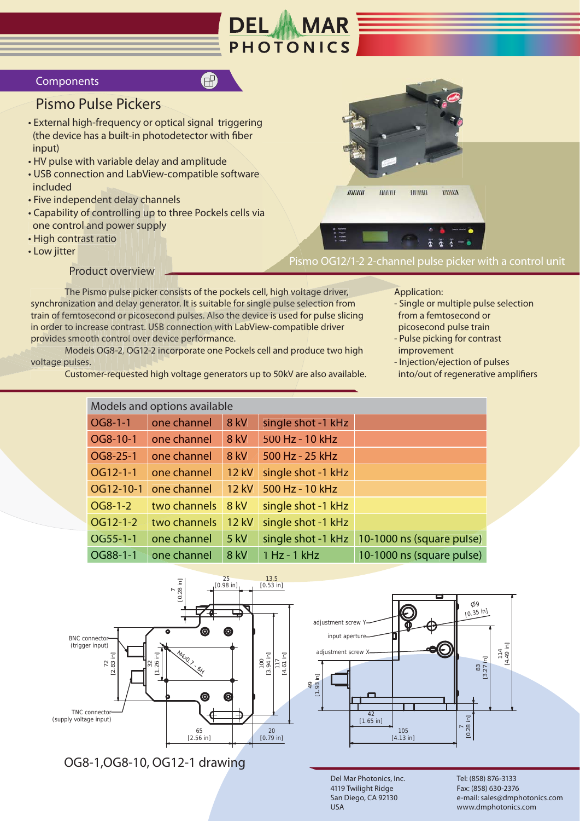

## Components

## **Pismo Pulse Pickers**

- External high-frequency or optical signal triggering (the device has a built-in photodetector with fiber) input)
- . HV pulse with variable delay and amplitude
- USB connection and LabView-compatible software included
- Five independent delay channels
- Capability of controlling up to three Pockels cells via one control and power supply
- High contrast ratio
- Low jitter

**Product overview** 

The Pismo pulse picker consists of the pockels cell, high voltage driver, synchronization and delay generator. It is suitable for single pulse selection from train of femtosecond or picosecond pulses. Also the device is used for pulse slicing in order to increase contrast. USB connection with LabView-compatible driver provides smooth control over device performance.

A

Models OG8-2, OG12-2 incorporate one Pockels cell and produce two high voltage pulses.

Customer-requested high voltage generators up to 50kV are also available.

Application:

Pismo OG12/1-2 2-channel pulse picker with a control unit

 $111111111$ 

ниши

 $IIIIIIII$ 

- Single or multiple pulse selection from a femtosecond or picosecond pulse train
- Pulse picking for contrast improvement

www

- Injection/ejection of pulses into/out of regenerative amplifiers

| Models and options available |              |              |                    |                           |  |  |
|------------------------------|--------------|--------------|--------------------|---------------------------|--|--|
| OG8-1-1                      | one channel  | 8 kV         | single shot -1 kHz |                           |  |  |
| OG8-10-1                     | one channel  | 8 kV         | 500 Hz - 10 kHz    |                           |  |  |
| OG8-25-1                     | one channel  | <b>8 kV</b>  | 500 Hz - 25 kHz    |                           |  |  |
| OG12-1-1                     | one channel  | <b>12 kV</b> | single shot -1 kHz |                           |  |  |
| OG12-10-1                    | one channel  | <b>12 kV</b> | 500 Hz - 10 kHz    |                           |  |  |
| OG8-1-2                      | two channels | <b>8 kV</b>  | single shot -1 kHz |                           |  |  |
| OG12-1-2                     | two channels | <b>12 kV</b> | single shot -1 kHz |                           |  |  |
| $OG55-1-1$                   | one channel  | $5$ kV       | single shot -1 kHz | 10-1000 ns (square pulse) |  |  |
| OG88-1-1                     | one channel  | <b>8 kV</b>  | 1 Hz - 1 kHz       | 10-1000 ns (square pulse) |  |  |



OG8-1, OG8-10, OG12-1 drawing



Del Mar Photonics, Inc. 4119 Twilight Ridge San Diego, CA 92130 USA

Tel: (858) 876-3133 Fax: (858) 630-2376 e-mail: sales@dmphotonics.com www.dmphotonics.com